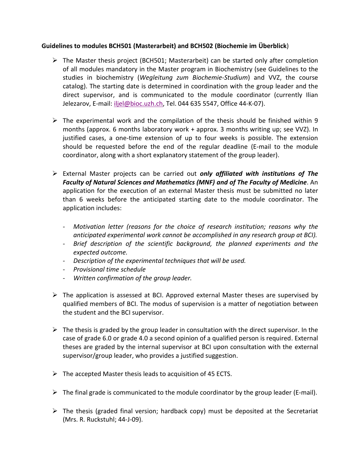## **Guidelines to modules BCH501 (Masterarbeit) and BCH502 (Biochemie im Überblick**)

- $\triangleright$  The Master thesis project (BCH501; Masterarbeit) can be started only after completion of all modules mandatory in the Master program in Biochemistry (see Guidelines to the studies in biochemistry (*Wegleitung zum Biochemie-Studium*) and VVZ, the course catalog). The starting date is determined in coordination with the group leader and the direct supervisor, and is communicated to the module coordinator (currently Ilian Jelezarov, E-mail: [iljel@bioc.uzh.ch,](mailto:iljel@bioc.uzh.ch) Tel. 044 635 5547, Office 44-K-07).
- $\triangleright$  The experimental work and the compilation of the thesis should be finished within 9 months (approx. 6 months laboratory work + approx. 3 months writing up; see VVZ). In justified cases, a one-time extension of up to four weeks is possible. The extension should be requested before the end of the regular deadline (E-mail to the module coordinator, along with a short explanatory statement of the group leader).
- ➢ External Master projects can be carried out *only affiliated with institutions of The Faculty of Natural Sciences and Mathematics (MNF) and of The Faculty of Medicine*. An application for the execution of an external Master thesis must be submitted no later than 6 weeks before the anticipated starting date to the module coordinator. The application includes:
	- *- Motivation letter (reasons for the choice of research institution; reasons why the anticipated experimental work cannot be accomplished in any research group at BCI).*
	- *- Brief description of the scientific background, the planned experiments and the expected outcome.*
	- *- Description of the experimental techniques that will be used.*
	- *- Provisional time schedule*
	- *- Written confirmation of the group leader.*
- $\triangleright$  The application is assessed at BCI. Approved external Master theses are supervised by qualified members of BCI. The modus of supervision is a matter of negotiation between the student and the BCI supervisor.
- $\triangleright$  The thesis is graded by the group leader in consultation with the direct supervisor. In the case of grade 6.0 or grade 4.0 a second opinion of a qualified person is required. External theses are graded by the internal supervisor at BCI upon consultation with the external supervisor/group leader, who provides a justified suggestion.
- $\triangleright$  The accepted Master thesis leads to acquisition of 45 ECTS.
- $\triangleright$  The final grade is communicated to the module coordinator by the group leader (E-mail).
- $\triangleright$  The thesis (graded final version; hardback copy) must be deposited at the Secretariat (Mrs. R. Ruckstuhl; 44-J-09).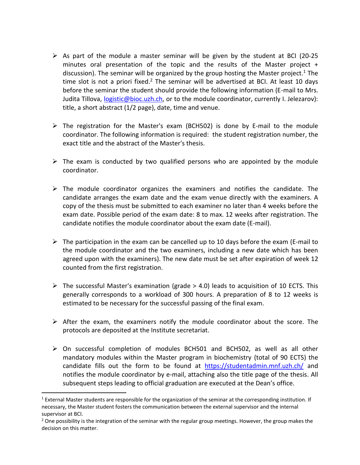- $\triangleright$  As part of the module a master seminar will be given by the student at BCI (20-25 minutes oral presentation of the topic and the results of the Master project + discussion). The seminar will be organized by the group hosting the Master project.<sup>1</sup> The time slot is not a priori fixed.<sup>2</sup> The seminar will be advertised at BCI. At least 10 days before the seminar the student should provide the following information (E-mail to Mrs. Judita Tillova, [logistic@bioc.uzh.ch,](mailto:logistic@bioc.uzh.ch) or to the module coordinator, currently I. Jelezarov): title, a short abstract (1/2 page), date, time and venue.
- ➢ The registration for the Master's exam (BCH502) is done by E-mail to the module coordinator. The following information is required: the student registration number, the exact title and the abstract of the Master's thesis.
- $\triangleright$  The exam is conducted by two qualified persons who are appointed by the module coordinator.
- $\triangleright$  The module coordinator organizes the examiners and notifies the candidate. The candidate arranges the exam date and the exam venue directly with the examiners. A copy of the thesis must be submitted to each examiner no later than 4 weeks before the exam date. Possible period of the exam date: 8 to max. 12 weeks after registration. The candidate notifies the module coordinator about the exam date (E-mail).
- $\triangleright$  The participation in the exam can be cancelled up to 10 days before the exam (E-mail to the module coordinator and the two examiners, including a new date which has been agreed upon with the examiners). The new date must be set after expiration of week 12 counted from the first registration.
- $\triangleright$  The successful Master's examination (grade  $>$  4.0) leads to acquisition of 10 ECTS. This generally corresponds to a workload of 300 hours. A preparation of 8 to 12 weeks is estimated to be necessary for the successful passing of the final exam.
- $\triangleright$  After the exam, the examiners notify the module coordinator about the score. The protocols are deposited at the Institute secretariat.
- ➢ On successful completion of modules BCH501 and BCH502, as well as all other mandatory modules within the Master program in biochemistry (total of 90 ECTS) the candidate fills out the form to be found at <https://studentadmin.mnf.uzh.ch/> and notifies the module coordinator by e-mail, attaching also the title page of the thesis. All subsequent steps leading to official graduation are executed at the Dean's office.

 $\overline{a}$ 

 $1$  External Master students are responsible for the organization of the seminar at the corresponding institution. If necessary, the Master student fosters the communication between the external supervisor and the internal supervisor at BCI.

<sup>&</sup>lt;sup>2</sup> One possibility is the integration of the seminar with the regular group meetings. However, the group makes the decision on this matter.